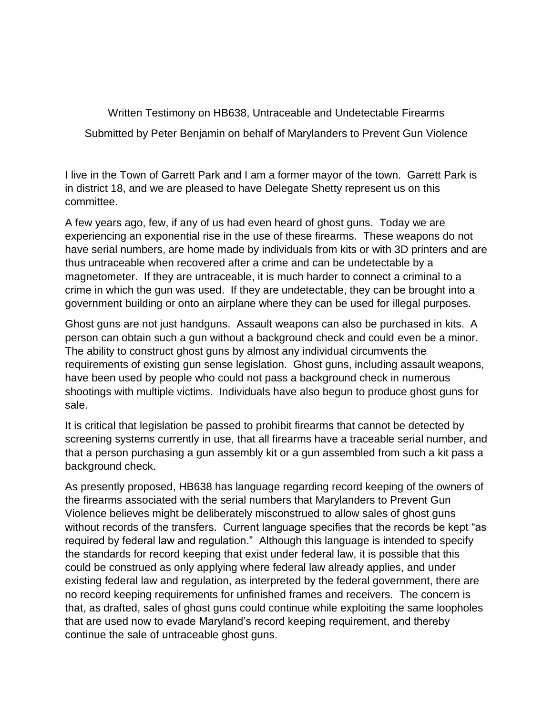Written Testimony on HB638, Untraceable and Undetectable Firearms

Submitted by Peter Benjamin on behalf of Marylanders to Prevent Gun Violence

I live in the Town of Garrett Park and I am a former mayor of the town. Garrett Park is in district 18, and we are pleased to have Delegate Shetty represent us on this committee.

A few years ago, few, if any of us had even heard of ghost guns. Today we are experiencing an exponential rise in the use of these firearms. These weapons do not have serial numbers, are home made by individuals from kits or with 3D printers and are thus untraceable when recovered after a crime and can be undetectable by a magnetometer. If they are untraceable, it is much harder to connect a criminal to a crime in which the gun was used. If they are undetectable, they can be brought into a government building or onto an airplane where they can be used for illegal purposes.

Ghost guns are not just handguns. Assault weapons can also be purchased in kits. A person can obtain such a gun without a background check and could even be a minor. The ability to construct ghost guns by almost any individual circumvents the requirements of existing gun sense legislation. Ghost guns, including assault weapons, have been used by people who could not pass a background check in numerous shootings with multiple victims. Individuals have also begun to produce ghost guns for sale.

It is critical that legislation be passed to prohibit firearms that cannot be detected by screening systems currently in use, that all firearms have a traceable serial number, and that a person purchasing a gun assembly kit or a gun assembled from such a kit pass a background check.

As presently proposed, HB638 has language regarding record keeping of the owners of the firearms associated with the serial numbers that Marylanders to Prevent Gun Violence believes might be deliberately misconstrued to allow sales of ghost guns without records of the transfers. Current language specifies that the records be kept "as required by federal law and regulation." Although this language is intended to specify the standards for record keeping that exist under federal law, it is possible that this could be construed as only applying where federal law already applies, and under existing federal law and regulation, as interpreted by the federal government, there are no record keeping requirements for unfinished frames and receivers. The concern is that, as drafted, sales of ghost guns could continue while exploiting the same loopholes that are used now to evade Maryland's record keeping requirement, and thereby continue the sale of untraceable ghost guns.